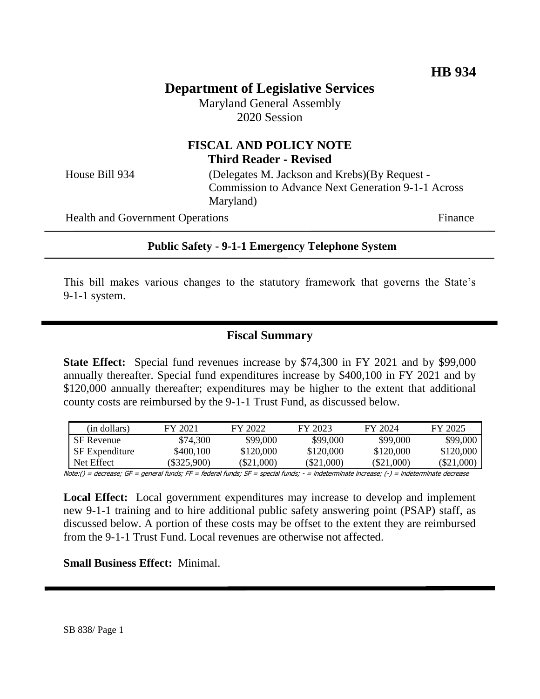# **Department of Legislative Services**

Maryland General Assembly 2020 Session

# **FISCAL AND POLICY NOTE Third Reader - Revised**

House Bill 934 (Delegates M. Jackson and Krebs)(By Request - Commission to Advance Next Generation 9-1-1 Across Maryland)

Health and Government Operations Finance

#### **Public Safety - 9-1-1 Emergency Telephone System**

This bill makes various changes to the statutory framework that governs the State's 9-1-1 system.

#### **Fiscal Summary**

**State Effect:** Special fund revenues increase by \$74,300 in FY 2021 and by \$99,000 annually thereafter. Special fund expenditures increase by \$400,100 in FY 2021 and by \$120,000 annually thereafter; expenditures may be higher to the extent that additional county costs are reimbursed by the 9-1-1 Trust Fund, as discussed below.

| (in dollars)          | FY 2021     | FY 2022    | FY 2023      | FY 2024      | FY 2025      |
|-----------------------|-------------|------------|--------------|--------------|--------------|
| SF Revenue            | \$74,300    | \$99,000   | \$99,000     | \$99,000     | \$99,000     |
| <b>SF</b> Expenditure | \$400,100   | \$120,000  | \$120,000    | \$120,000    | \$120,000    |
| Net Effect            | (\$325.900) | (\$21.000) | $(\$21,000)$ | $(\$21,000)$ | $(\$21,000,$ |

Note:() = decrease; GF = general funds; FF = federal funds; SF = special funds; - = indeterminate increase; (-) = indeterminate decrease

**Local Effect:** Local government expenditures may increase to develop and implement new 9-1-1 training and to hire additional public safety answering point (PSAP) staff, as discussed below. A portion of these costs may be offset to the extent they are reimbursed from the 9-1-1 Trust Fund. Local revenues are otherwise not affected.

#### **Small Business Effect:** Minimal.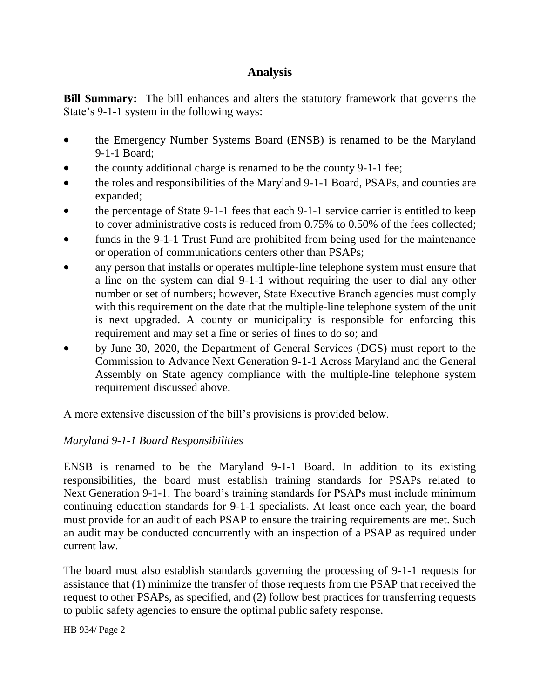# **Analysis**

**Bill Summary:** The bill enhances and alters the statutory framework that governs the State's 9-1-1 system in the following ways:

- the Emergency Number Systems Board (ENSB) is renamed to be the Maryland 9-1-1 Board;
- the county additional charge is renamed to be the county 9-1-1 fee;
- the roles and responsibilities of the Maryland 9-1-1 Board, PSAPs, and counties are expanded;
- the percentage of State 9-1-1 fees that each 9-1-1 service carrier is entitled to keep to cover administrative costs is reduced from 0.75% to 0.50% of the fees collected;
- funds in the 9-1-1 Trust Fund are prohibited from being used for the maintenance or operation of communications centers other than PSAPs;
- any person that installs or operates multiple-line telephone system must ensure that a line on the system can dial 9-1-1 without requiring the user to dial any other number or set of numbers; however, State Executive Branch agencies must comply with this requirement on the date that the multiple-line telephone system of the unit is next upgraded. A county or municipality is responsible for enforcing this requirement and may set a fine or series of fines to do so; and
- by June 30, 2020, the Department of General Services (DGS) must report to the Commission to Advance Next Generation 9-1-1 Across Maryland and the General Assembly on State agency compliance with the multiple-line telephone system requirement discussed above.

A more extensive discussion of the bill's provisions is provided below.

# *Maryland 9-1-1 Board Responsibilities*

ENSB is renamed to be the Maryland 9-1-1 Board. In addition to its existing responsibilities, the board must establish training standards for PSAPs related to Next Generation 9-1-1. The board's training standards for PSAPs must include minimum continuing education standards for 9-1-1 specialists. At least once each year, the board must provide for an audit of each PSAP to ensure the training requirements are met. Such an audit may be conducted concurrently with an inspection of a PSAP as required under current law.

The board must also establish standards governing the processing of 9-1-1 requests for assistance that (1) minimize the transfer of those requests from the PSAP that received the request to other PSAPs, as specified, and (2) follow best practices for transferring requests to public safety agencies to ensure the optimal public safety response.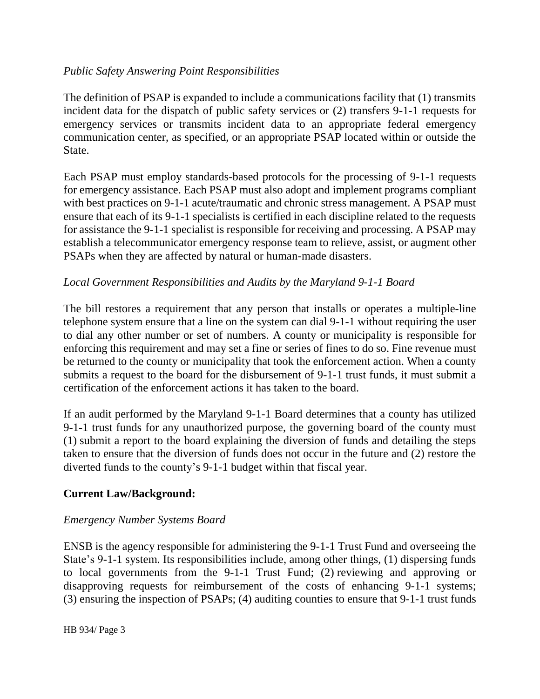### *Public Safety Answering Point Responsibilities*

The definition of PSAP is expanded to include a communications facility that (1) transmits incident data for the dispatch of public safety services or (2) transfers 9-1-1 requests for emergency services or transmits incident data to an appropriate federal emergency communication center, as specified, or an appropriate PSAP located within or outside the State.

Each PSAP must employ standards-based protocols for the processing of 9-1-1 requests for emergency assistance. Each PSAP must also adopt and implement programs compliant with best practices on 9-1-1 acute/traumatic and chronic stress management. A PSAP must ensure that each of its 9-1-1 specialists is certified in each discipline related to the requests for assistance the 9-1-1 specialist is responsible for receiving and processing. A PSAP may establish a telecommunicator emergency response team to relieve, assist, or augment other PSAPs when they are affected by natural or human-made disasters.

# *Local Government Responsibilities and Audits by the Maryland 9-1-1 Board*

The bill restores a requirement that any person that installs or operates a multiple-line telephone system ensure that a line on the system can dial 9-1-1 without requiring the user to dial any other number or set of numbers. A county or municipality is responsible for enforcing this requirement and may set a fine or series of fines to do so. Fine revenue must be returned to the county or municipality that took the enforcement action. When a county submits a request to the board for the disbursement of 9-1-1 trust funds, it must submit a certification of the enforcement actions it has taken to the board.

If an audit performed by the Maryland 9-1-1 Board determines that a county has utilized 9-1-1 trust funds for any unauthorized purpose, the governing board of the county must (1) submit a report to the board explaining the diversion of funds and detailing the steps taken to ensure that the diversion of funds does not occur in the future and (2) restore the diverted funds to the county's 9-1-1 budget within that fiscal year.

# **Current Law/Background:**

### *Emergency Number Systems Board*

ENSB is the agency responsible for administering the 9-1-1 Trust Fund and overseeing the State's 9-1-1 system. Its responsibilities include, among other things, (1) dispersing funds to local governments from the 9-1-1 Trust Fund; (2) reviewing and approving or disapproving requests for reimbursement of the costs of enhancing 9-1-1 systems; (3) ensuring the inspection of PSAPs; (4) auditing counties to ensure that 9-1-1 trust funds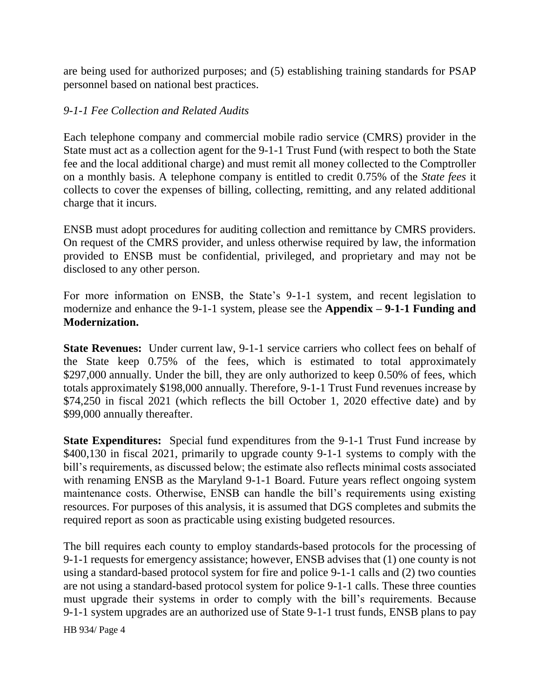are being used for authorized purposes; and (5) establishing training standards for PSAP personnel based on national best practices.

### *9-1-1 Fee Collection and Related Audits*

Each telephone company and commercial mobile radio service (CMRS) provider in the State must act as a collection agent for the 9-1-1 Trust Fund (with respect to both the State fee and the local additional charge) and must remit all money collected to the Comptroller on a monthly basis. A telephone company is entitled to credit 0.75% of the *State fees* it collects to cover the expenses of billing, collecting, remitting, and any related additional charge that it incurs.

ENSB must adopt procedures for auditing collection and remittance by CMRS providers. On request of the CMRS provider, and unless otherwise required by law, the information provided to ENSB must be confidential, privileged, and proprietary and may not be disclosed to any other person.

For more information on ENSB, the State's 9-1-1 system, and recent legislation to modernize and enhance the 9-1-1 system, please see the **Appendix – 9-1-1 Funding and Modernization.**

**State Revenues:** Under current law, 9-1-1 service carriers who collect fees on behalf of the State keep 0.75% of the fees, which is estimated to total approximately \$297,000 annually. Under the bill, they are only authorized to keep 0.50% of fees, which totals approximately \$198,000 annually. Therefore, 9-1-1 Trust Fund revenues increase by \$74,250 in fiscal 2021 (which reflects the bill October 1, 2020 effective date) and by \$99,000 annually thereafter.

**State Expenditures:** Special fund expenditures from the 9-1-1 Trust Fund increase by \$400,130 in fiscal 2021, primarily to upgrade county 9-1-1 systems to comply with the bill's requirements, as discussed below; the estimate also reflects minimal costs associated with renaming ENSB as the Maryland 9-1-1 Board. Future years reflect ongoing system maintenance costs. Otherwise, ENSB can handle the bill's requirements using existing resources. For purposes of this analysis, it is assumed that DGS completes and submits the required report as soon as practicable using existing budgeted resources.

The bill requires each county to employ standards-based protocols for the processing of 9-1-1 requests for emergency assistance; however, ENSB advises that (1) one county is not using a standard-based protocol system for fire and police 9-1-1 calls and (2) two counties are not using a standard-based protocol system for police 9-1-1 calls. These three counties must upgrade their systems in order to comply with the bill's requirements. Because 9-1-1 system upgrades are an authorized use of State 9-1-1 trust funds, ENSB plans to pay

HB 934/ Page 4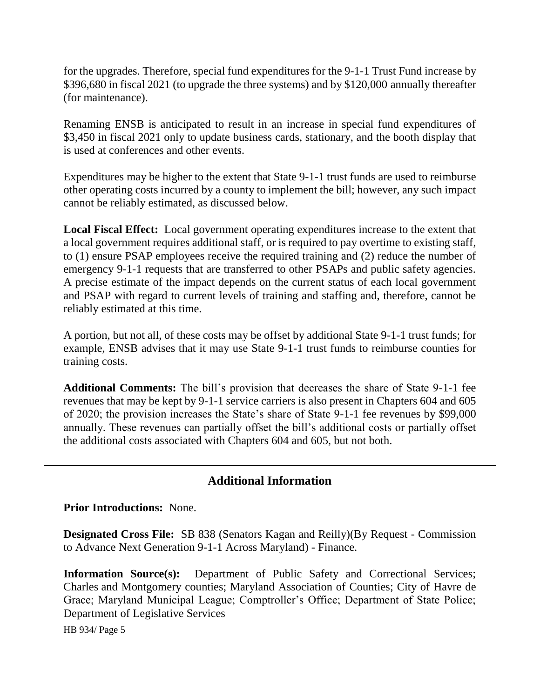for the upgrades. Therefore, special fund expenditures for the 9-1-1 Trust Fund increase by \$396,680 in fiscal 2021 (to upgrade the three systems) and by \$120,000 annually thereafter (for maintenance).

Renaming ENSB is anticipated to result in an increase in special fund expenditures of \$3,450 in fiscal 2021 only to update business cards, stationary, and the booth display that is used at conferences and other events.

Expenditures may be higher to the extent that State 9-1-1 trust funds are used to reimburse other operating costs incurred by a county to implement the bill; however, any such impact cannot be reliably estimated, as discussed below.

**Local Fiscal Effect:** Local government operating expenditures increase to the extent that a local government requires additional staff, or is required to pay overtime to existing staff, to (1) ensure PSAP employees receive the required training and (2) reduce the number of emergency 9-1-1 requests that are transferred to other PSAPs and public safety agencies. A precise estimate of the impact depends on the current status of each local government and PSAP with regard to current levels of training and staffing and, therefore, cannot be reliably estimated at this time.

A portion, but not all, of these costs may be offset by additional State 9-1-1 trust funds; for example, ENSB advises that it may use State 9-1-1 trust funds to reimburse counties for training costs.

**Additional Comments:** The bill's provision that decreases the share of State 9-1-1 fee revenues that may be kept by 9-1-1 service carriers is also present in Chapters 604 and 605 of 2020; the provision increases the State's share of State 9-1-1 fee revenues by \$99,000 annually. These revenues can partially offset the bill's additional costs or partially offset the additional costs associated with Chapters 604 and 605, but not both.

# **Additional Information**

**Prior Introductions:** None.

**Designated Cross File:** SB 838 (Senators Kagan and Reilly)(By Request - Commission to Advance Next Generation 9-1-1 Across Maryland) - Finance.

**Information Source(s):** Department of Public Safety and Correctional Services; Charles and Montgomery counties; Maryland Association of Counties; City of Havre de Grace; Maryland Municipal League; Comptroller's Office; Department of State Police; Department of Legislative Services

HB 934/ Page 5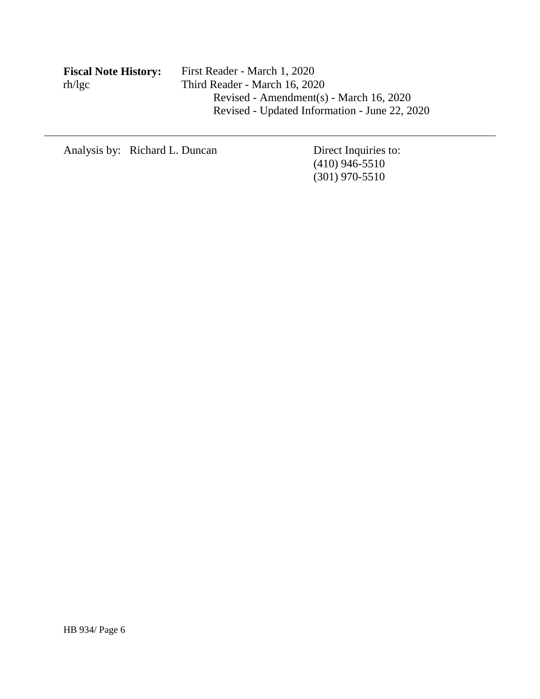| <b>Fiscal Note History:</b> | First Reader - March 1, 2020                  |
|-----------------------------|-----------------------------------------------|
| rh/lgc                      | Third Reader - March 16, 2020                 |
|                             | Revised - Amendment(s) - March 16, 2020       |
|                             | Revised - Updated Information - June 22, 2020 |
|                             |                                               |

Analysis by: Richard L. Duncan Direct Inquiries to:

(410) 946-5510 (301) 970-5510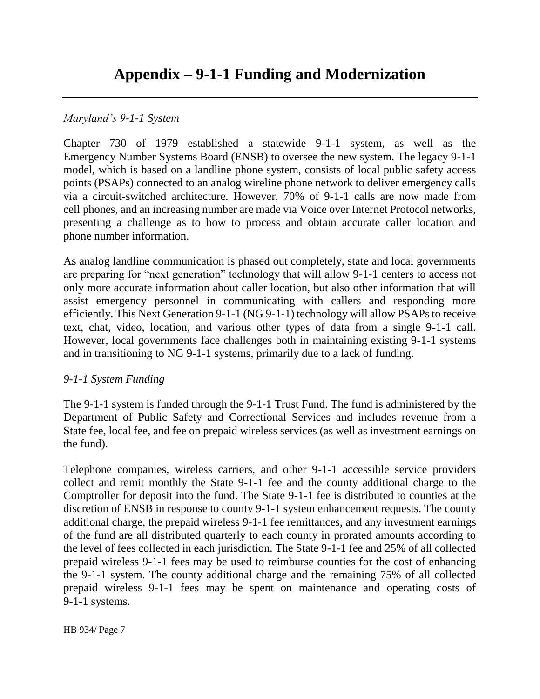### *Maryland's 9-1-1 System*

Chapter 730 of 1979 established a statewide 9-1-1 system, as well as the Emergency Number Systems Board (ENSB) to oversee the new system. The legacy 9-1-1 model, which is based on a landline phone system, consists of local public safety access points (PSAPs) connected to an analog wireline phone network to deliver emergency calls via a circuit-switched architecture. However, 70% of 9-1-1 calls are now made from cell phones, and an increasing number are made via Voice over Internet Protocol networks, presenting a challenge as to how to process and obtain accurate caller location and phone number information.

As analog landline communication is phased out completely, state and local governments are preparing for "next generation" technology that will allow 9-1-1 centers to access not only more accurate information about caller location, but also other information that will assist emergency personnel in communicating with callers and responding more efficiently. This Next Generation 9-1-1 (NG 9-1-1) technology will allow PSAPs to receive text, chat, video, location, and various other types of data from a single 9-1-1 call. However, local governments face challenges both in maintaining existing 9-1-1 systems and in transitioning to NG 9-1-1 systems, primarily due to a lack of funding.

#### *9-1-1 System Funding*

The 9-1-1 system is funded through the 9-1-1 Trust Fund. The fund is administered by the Department of Public Safety and Correctional Services and includes revenue from a State fee, local fee, and fee on prepaid wireless services (as well as investment earnings on the fund).

Telephone companies, wireless carriers, and other 9-1-1 accessible service providers collect and remit monthly the State 9-1-1 fee and the county additional charge to the Comptroller for deposit into the fund. The State 9-1-1 fee is distributed to counties at the discretion of ENSB in response to county 9-1-1 system enhancement requests. The county additional charge, the prepaid wireless 9-1-1 fee remittances, and any investment earnings of the fund are all distributed quarterly to each county in prorated amounts according to the level of fees collected in each jurisdiction. The State 9-1-1 fee and 25% of all collected prepaid wireless 9-1-1 fees may be used to reimburse counties for the cost of enhancing the 9-1-1 system. The county additional charge and the remaining 75% of all collected prepaid wireless 9-1-1 fees may be spent on maintenance and operating costs of 9-1-1 systems.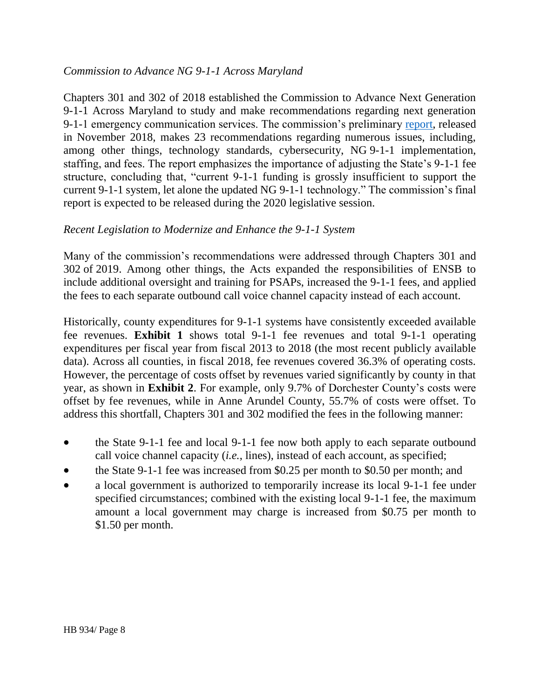### *Commission to Advance NG 9-1-1 Across Maryland*

Chapters 301 and 302 of 2018 established the Commission to Advance Next Generation 9-1-1 Across Maryland to study and make recommendations regarding next generation 9-1-1 emergency communication services. The commission's preliminary [report,](https://conduitstreet.mdcounties.org/wp-content/uploads/2018/12/Maryland-NG911-Commission-Report.pdf) released in November 2018, makes 23 recommendations regarding numerous issues, including, among other things, technology standards, cybersecurity, NG 9-1-1 implementation, staffing, and fees. The report emphasizes the importance of adjusting the State's 9-1-1 fee structure, concluding that, "current 9-1-1 funding is grossly insufficient to support the current 9-1-1 system, let alone the updated NG 9-1-1 technology." The commission's final report is expected to be released during the 2020 legislative session.

# *Recent Legislation to Modernize and Enhance the 9-1-1 System*

Many of the commission's recommendations were addressed through Chapters 301 and 302 of 2019. Among other things, the Acts expanded the responsibilities of ENSB to include additional oversight and training for PSAPs, increased the 9-1-1 fees, and applied the fees to each separate outbound call voice channel capacity instead of each account.

Historically, county expenditures for 9-1-1 systems have consistently exceeded available fee revenues. **Exhibit 1** shows total 9-1-1 fee revenues and total 9-1-1 operating expenditures per fiscal year from fiscal 2013 to 2018 (the most recent publicly available data). Across all counties, in fiscal 2018, fee revenues covered 36.3% of operating costs. However, the percentage of costs offset by revenues varied significantly by county in that year, as shown in **Exhibit 2**. For example, only 9.7% of Dorchester County's costs were offset by fee revenues, while in Anne Arundel County, 55.7% of costs were offset. To address this shortfall, Chapters 301 and 302 modified the fees in the following manner:

- the State 9-1-1 fee and local 9-1-1 fee now both apply to each separate outbound call voice channel capacity (*i.e.*, lines), instead of each account, as specified;
- the State 9-1-1 fee was increased from \$0.25 per month to \$0.50 per month; and
- a local government is authorized to temporarily increase its local 9-1-1 fee under specified circumstances; combined with the existing local 9-1-1 fee, the maximum amount a local government may charge is increased from \$0.75 per month to \$1.50 per month.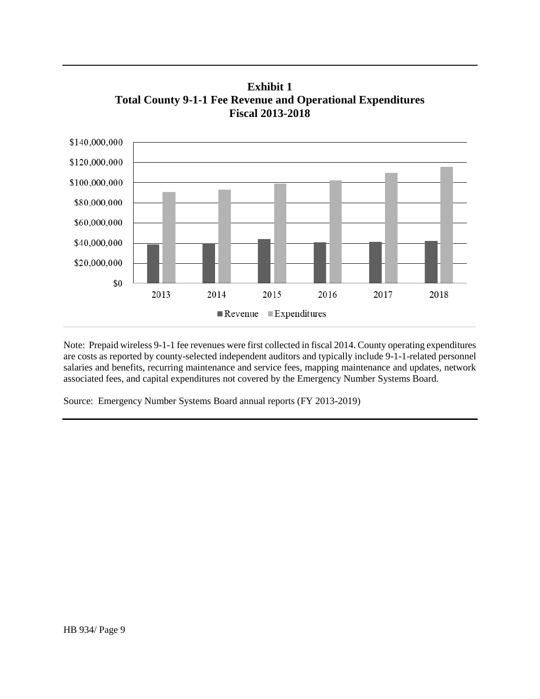\$140,000,000 \$120,000,000 \$100,000,000 \$80,000,000 \$60,000,000 \$40,000,000 \$20,000,000 \$0 2013 2014 2015 2016 2017 2018  $\blacksquare$  Revenue  $\blacksquare$  Expenditures

**Exhibit 1 Total County 9-1-1 Fee Revenue and Operational Expenditures Fiscal 2013-2018**

Note: Prepaid wireless 9-1-1 fee revenues were first collected in fiscal 2014. County operating expenditures are costs as reported by county-selected independent auditors and typically include 9-1-1-related personnel salaries and benefits, recurring maintenance and service fees, mapping maintenance and updates, network associated fees, and capital expenditures not covered by the Emergency Number Systems Board.

Source: Emergency Number Systems Board annual reports (FY 2013-2019)